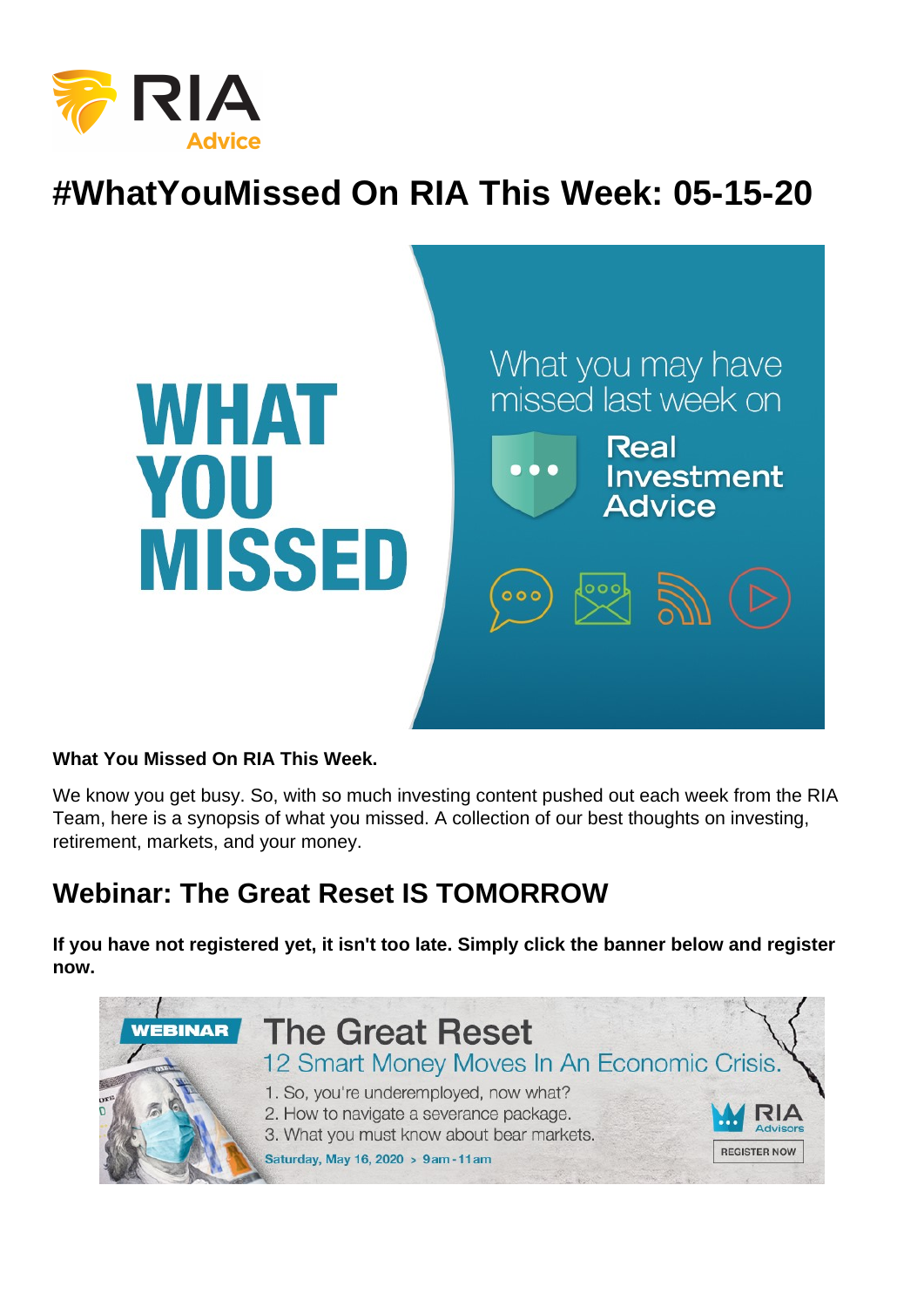# #WhatYouMissed On RIA This Week: 05-15-20

What You Missed On RIA This Week.

We know you get busy. So, with so much investing content pushed out each week from the RIA Team, here is a synopsis of what you missed. A collection of our best thoughts on investing, retirement, markets, and your money.

## Webinar: The Great Reset IS TOMORROW

If you have not registered yet, it isn't too late. Simply click the banner below and register now.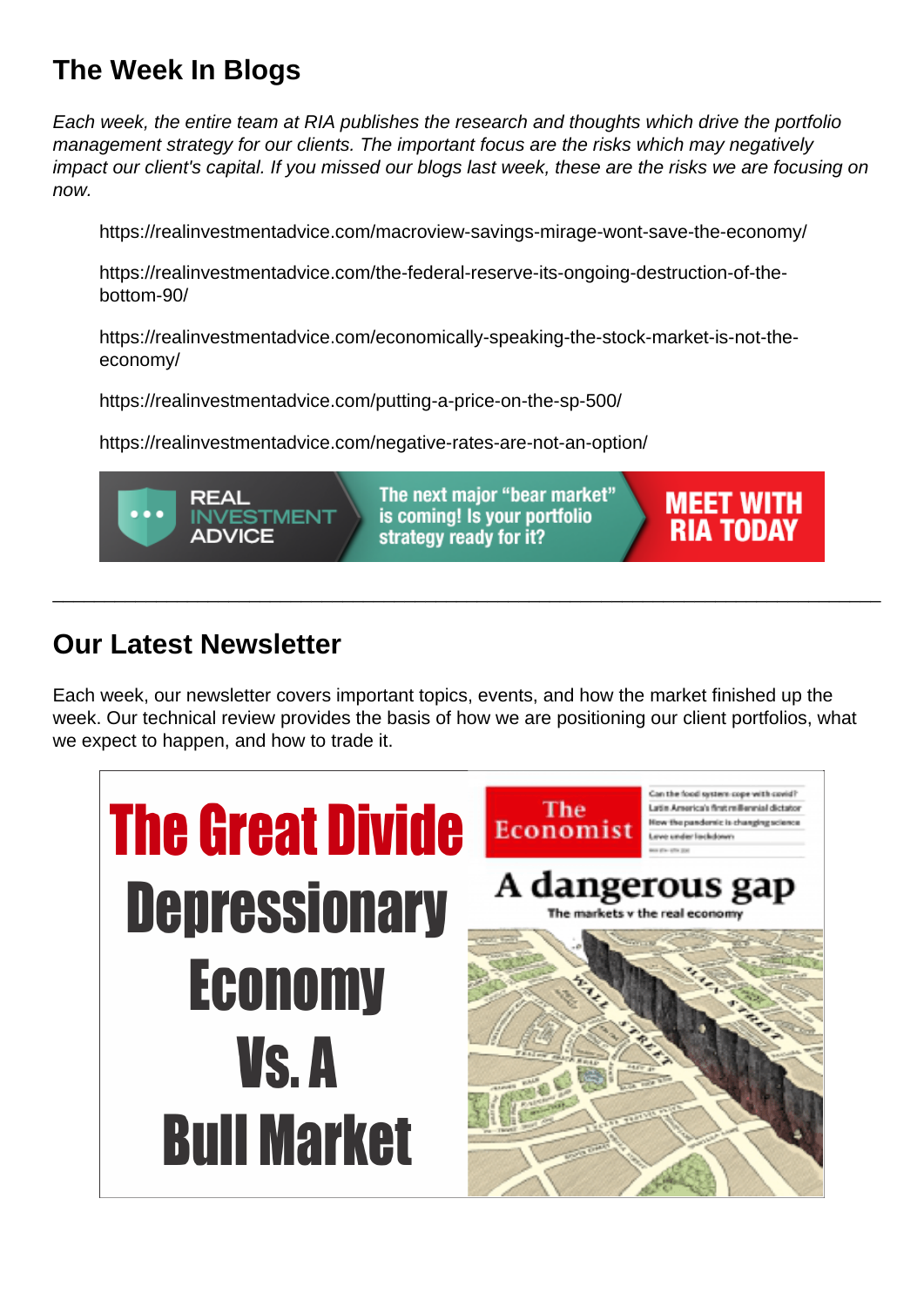# The Week In Blogs

Each week, the entire team at RIA publishes the research and thoughts which drive the portfolio management strategy for our clients. The important focus are the risks which may negatively impact our client's capital. If you missed our blogs last week, these are the risks we are focusing on now.

https://realinvestmentadvice.com/macroview-savings-mirage-wont-save-the-economy/

https://realinvestmentadvice.com/the-federal-reserve-its-ongoing-destruction-of-thebottom-90/

https://realinvestmentadvice.com/economically-speaking-the-stock-market-is-not-theeconomy/

https://realinvestmentadvice.com/putting-a-price-on-the-sp-500/

https://realinvestmentadvice.com/negative-rates-are-not-an-option/

#### Our Latest Newsletter

Each week, our newsletter covers important topics, events, and how the market finished up the week. Our technical review provides the basis of how we are positioning our client portfolios, what we expect to happen, and how to trade it.

\_\_\_\_\_\_\_\_\_\_\_\_\_\_\_\_\_\_\_\_\_\_\_\_\_\_\_\_\_\_\_\_\_\_\_\_\_\_\_\_\_\_\_\_\_\_\_\_\_\_\_\_\_\_\_\_\_\_\_\_\_\_\_\_\_\_\_\_\_\_\_\_\_\_\_\_\_\_\_\_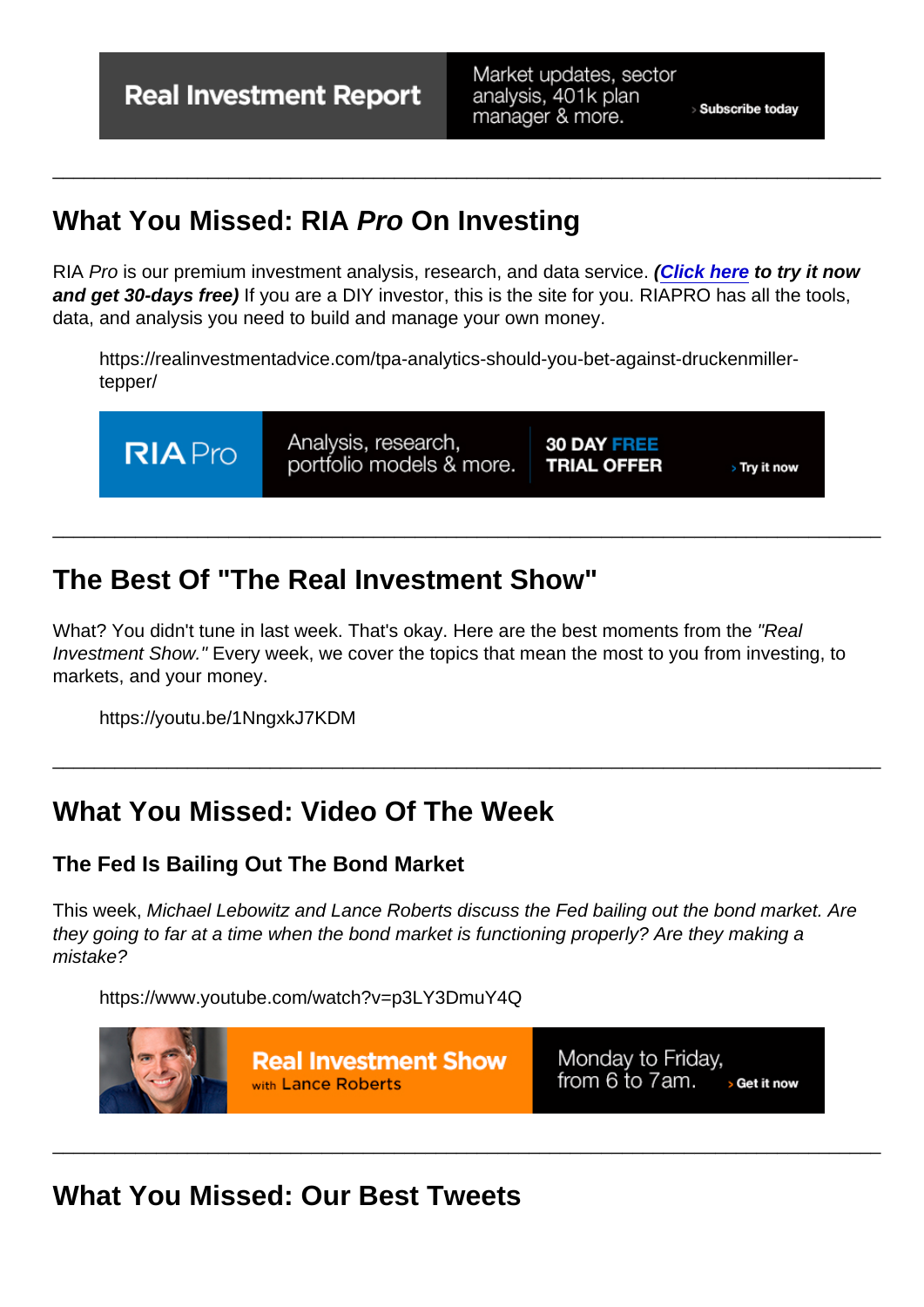# What You Missed: RIA Pro On Investing

RIA Pro is our premium investment analysis, research, and data service. [\(Click here](https://riapro.net/register) to try it now and get 30-days free) If you are a DIY investor, this is the site for you. RIAPRO has all the tools, data, and analysis you need to build and manage your own money.

\_\_\_\_\_\_\_\_\_\_\_\_\_\_\_\_\_\_\_\_\_\_\_\_\_\_\_\_\_\_\_\_\_\_\_\_\_\_\_\_\_\_\_\_\_\_\_\_\_\_\_\_\_\_\_\_\_\_\_\_\_\_\_\_\_\_\_\_\_\_\_\_\_\_\_\_\_\_\_\_

https://realinvestmentadvice.com/tpa-analytics-should-you-bet-against-druckenmillertepper/

# The Best Of "The Real Investment Show"

What? You didn't tune in last week. That's okay. Here are the best moments from the "Real Investment Show." Every week, we cover the topics that mean the most to you from investing, to markets, and your money.

\_\_\_\_\_\_\_\_\_\_\_\_\_\_\_\_\_\_\_\_\_\_\_\_\_\_\_\_\_\_\_\_\_\_\_\_\_\_\_\_\_\_\_\_\_\_\_\_\_\_\_\_\_\_\_\_\_\_\_\_\_\_\_\_\_\_\_\_\_\_\_\_\_\_\_\_\_\_\_\_

\_\_\_\_\_\_\_\_\_\_\_\_\_\_\_\_\_\_\_\_\_\_\_\_\_\_\_\_\_\_\_\_\_\_\_\_\_\_\_\_\_\_\_\_\_\_\_\_\_\_\_\_\_\_\_\_\_\_\_\_\_\_\_\_\_\_\_\_\_\_\_\_\_\_\_\_\_\_\_\_

https://youtu.be/1NngxkJ7KDM

## What You Missed: Video Of The Week

The Fed Is Bailing Out The Bond Market

This week, Michael Lebowitz and Lance Roberts discuss the Fed bailing out the bond market. Are they going to far at a time when the bond market is functioning properly? Are they making a mistake?

\_\_\_\_\_\_\_\_\_\_\_\_\_\_\_\_\_\_\_\_\_\_\_\_\_\_\_\_\_\_\_\_\_\_\_\_\_\_\_\_\_\_\_\_\_\_\_\_\_\_\_\_\_\_\_\_\_\_\_\_\_\_\_\_\_\_\_\_\_\_\_\_\_\_\_\_\_\_\_\_

https://www.youtube.com/watch?v=p3LY3DmuY4Q

What You Missed: Our Best Tweets